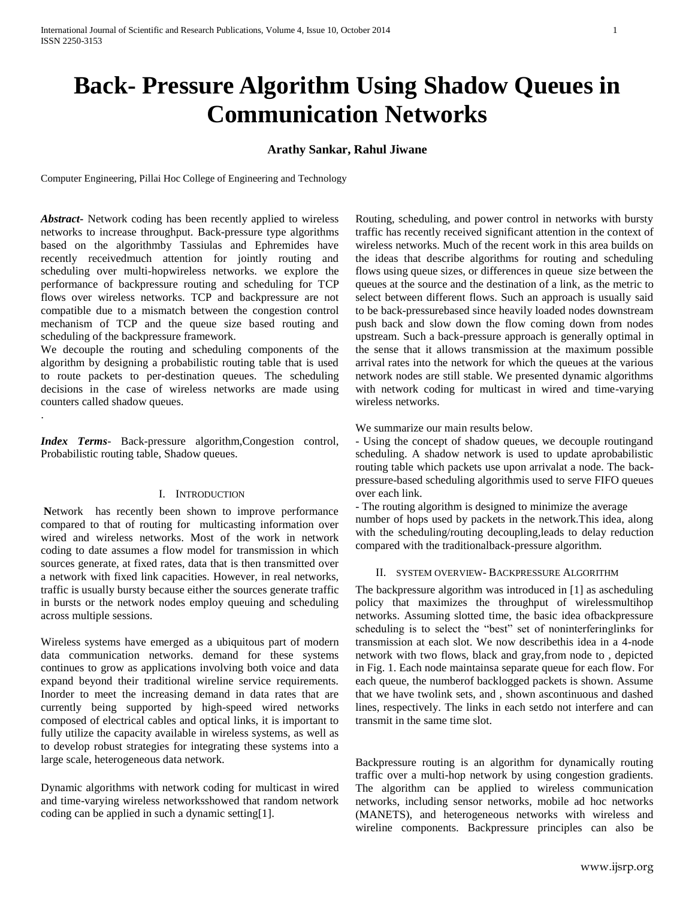# **Back- Pressure Algorithm Using Shadow Queues in Communication Networks**

# **Arathy Sankar, Rahul Jiwane**

Computer Engineering, Pillai Hoc College of Engineering and Technology

*Abstract***-** Network coding has been recently applied to wireless networks to increase throughput. Back-pressure type algorithms based on the algorithmby Tassiulas and Ephremides have recently receivedmuch attention for jointly routing and scheduling over multi-hopwireless networks. we explore the performance of backpressure routing and scheduling for TCP flows over wireless networks. TCP and backpressure are not compatible due to a mismatch between the congestion control mechanism of TCP and the queue size based routing and scheduling of the backpressure framework.

We decouple the routing and scheduling components of the algorithm by designing a probabilistic routing table that is used to route packets to per-destination queues. The scheduling decisions in the case of wireless networks are made using counters called shadow queues.

*Index Terms*- Back-pressure algorithm,Congestion control, Probabilistic routing table, Shadow queues.

.

## I. INTRODUCTION

**N**etwork has recently been shown to improve performance compared to that of routing for multicasting information over wired and wireless networks. Most of the work in network coding to date assumes a flow model for transmission in which sources generate, at fixed rates, data that is then transmitted over a network with fixed link capacities. However, in real networks, traffic is usually bursty because either the sources generate traffic in bursts or the network nodes employ queuing and scheduling across multiple sessions.

Wireless systems have emerged as a ubiquitous part of modern data communication networks. demand for these systems continues to grow as applications involving both voice and data expand beyond their traditional wireline service requirements. Inorder to meet the increasing demand in data rates that are currently being supported by high-speed wired networks composed of electrical cables and optical links, it is important to fully utilize the capacity available in wireless systems, as well as to develop robust strategies for integrating these systems into a large scale, heterogeneous data network.

Dynamic algorithms with network coding for multicast in wired and time-varying wireless networksshowed that random network coding can be applied in such a dynamic setting[1].

Routing, scheduling, and power control in networks with bursty traffic has recently received significant attention in the context of wireless networks. Much of the recent work in this area builds on the ideas that describe algorithms for routing and scheduling flows using queue sizes, or differences in queue size between the queues at the source and the destination of a link, as the metric to select between different flows. Such an approach is usually said to be back-pressurebased since heavily loaded nodes downstream push back and slow down the flow coming down from nodes upstream. Such a back-pressure approach is generally optimal in the sense that it allows transmission at the maximum possible arrival rates into the network for which the queues at the various network nodes are still stable. We presented dynamic algorithms with network coding for multicast in wired and time-varying wireless networks.

We summarize our main results below.

- Using the concept of shadow queues, we decouple routingand scheduling. A shadow network is used to update aprobabilistic routing table which packets use upon arrivalat a node. The backpressure-based scheduling algorithmis used to serve FIFO queues over each link.

- The routing algorithm is designed to minimize the average number of hops used by packets in the network.This idea, along with the scheduling/routing decoupling,leads to delay reduction compared with the traditionalback-pressure algorithm.

#### II. SYSTEM OVERVIEW- BACKPRESSURE ALGORITHM

The backpressure algorithm was introduced in [1] as ascheduling policy that maximizes the throughput of wirelessmultihop networks. Assuming slotted time, the basic idea ofbackpressure scheduling is to select the "best" set of noninterferinglinks for transmission at each slot. We now describethis idea in a 4-node network with two flows, black and gray,from node to , depicted in Fig. 1. Each node maintainsa separate queue for each flow. For each queue, the numberof backlogged packets is shown. Assume that we have twolink sets, and , shown ascontinuous and dashed lines, respectively. The links in each setdo not interfere and can transmit in the same time slot.

Backpressure routing is an algorithm for dynamically routing traffic over a multi-hop network by using congestion gradients. The algorithm can be applied to wireless communication networks, including [sensor networks,](http://en.wikipedia.org/wiki/Wireless_sensor_network) mobile ad hoc networks [\(MANETS\)](http://en.wikipedia.org/wiki/Mobile_ad_hoc_network), and heterogeneous networks with wireless and wireline components. Backpressure principles can also be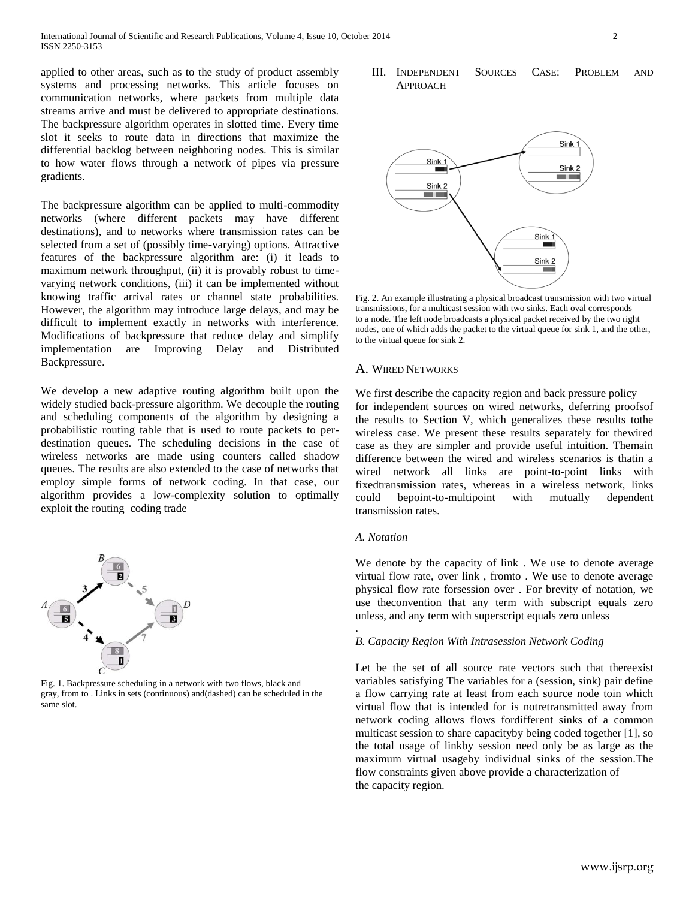applied to other areas, such as to the study of product assembly systems and processing networks. This article focuses on communication networks, where packets from multiple data streams arrive and must be delivered to appropriate destinations. The backpressure algorithm operates in slotted time. Every time slot it seeks to route data in directions that maximize the differential backlog between neighboring nodes. This is similar to how water flows through a network of pipes via pressure gradients.

The backpressure algorithm can be applied to multi-commodity networks (where different packets may have different destinations), and to networks where transmission rates can be selected from a set of (possibly time-varying) options. Attractive features of the backpressure algorithm are: (i) it leads to maximum network throughput, (ii) it is provably robust to timevarying network conditions, (iii) it can be implemented without knowing traffic arrival rates or channel state probabilities. However, the algorithm may introduce large delays, and may be difficult to implement exactly in networks with interference. Modifications of backpressure that reduce delay and simplify implementation are [Improving Delay](http://en.wikipedia.org/wiki/Backpressure_routing#Improving_delay) and [Distributed](http://en.wikipedia.org/wiki/Backpressure_routing#Distributed_backpressure)  [Backpressure.](http://en.wikipedia.org/wiki/Backpressure_routing#Distributed_backpressure)

We develop a new adaptive routing algorithm built upon the widely studied back-pressure algorithm. We decouple the routing and scheduling components of the algorithm by designing a probabilistic routing table that is used to route packets to perdestination queues. The scheduling decisions in the case of wireless networks are made using counters called shadow queues. The results are also extended to the case of networks that employ simple forms of network coding. In that case, our algorithm provides a low-complexity solution to optimally exploit the routing–coding trade



Fig. 1. Backpressure scheduling in a network with two flows, black and gray, from to . Links in sets (continuous) and(dashed) can be scheduled in the same slot.





Fig. 2. An example illustrating a physical broadcast transmission with two virtual transmissions, for a multicast session with two sinks. Each oval corresponds to a node. The left node broadcasts a physical packet received by the two right nodes, one of which adds the packet to the virtual queue for sink 1, and the other, to the virtual queue for sink 2.

#### A. WIRED NETWORKS

We first describe the capacity region and back pressure policy for independent sources on wired networks, deferring proofsof the results to Section V, which generalizes these results tothe wireless case. We present these results separately for thewired case as they are simpler and provide useful intuition. Themain difference between the wired and wireless scenarios is thatin a wired network all links are point-to-point links with fixedtransmission rates, whereas in a wireless network, links could bepoint-to-multipoint with mutually dependent transmission rates.

## *A. Notation*

.

We denote by the capacity of link . We use to denote average virtual flow rate, over link , fromto . We use to denote average physical flow rate forsession over . For brevity of notation, we use theconvention that any term with subscript equals zero unless, and any term with superscript equals zero unless

#### *B. Capacity Region With Intrasession Network Coding*

Let be the set of all source rate vectors such that thereexist variables satisfying The variables for a (session, sink) pair define a flow carrying rate at least from each source node toin which virtual flow that is intended for is notretransmitted away from network coding allows flows fordifferent sinks of a common multicast session to share capacityby being coded together [1], so the total usage of linkby session need only be as large as the maximum virtual usageby individual sinks of the session.The flow constraints given above provide a characterization of the capacity region.